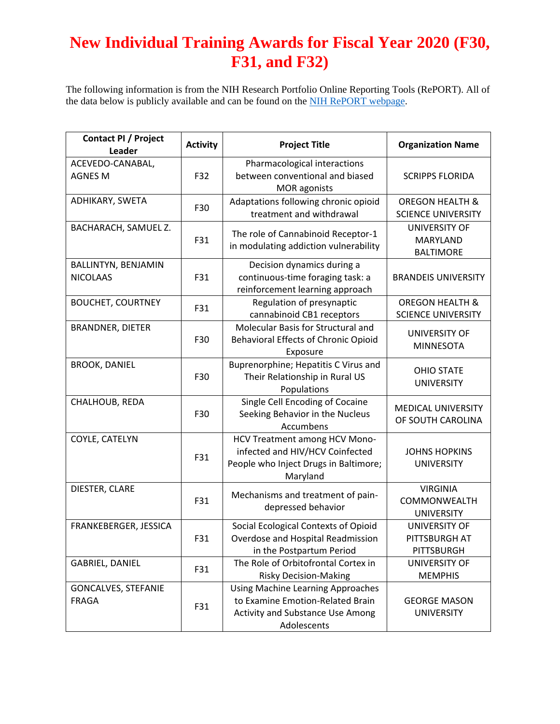## **New Individual Training Awards for Fiscal Year 2020 (F30, F31, and F32)**

The following information is from the NIH Research Portfolio Online Reporting Tools (RePORT). All of the data below is publicly available and can be found on the [NIH RePORT webpage.](https://report.nih.gov/index.aspx)

| <b>Contact PI / Project</b><br>Leader  | <b>Activity</b> | <b>Project Title</b>                                                                                                            | <b>Organization Name</b>                                |
|----------------------------------------|-----------------|---------------------------------------------------------------------------------------------------------------------------------|---------------------------------------------------------|
| ACEVEDO-CANABAL,<br><b>AGNES M</b>     | F32             | Pharmacological interactions<br>between conventional and biased<br><b>MOR</b> agonists                                          | <b>SCRIPPS FLORIDA</b>                                  |
| ADHIKARY, SWETA                        | F30             | Adaptations following chronic opioid<br>treatment and withdrawal                                                                | <b>OREGON HEALTH &amp;</b><br><b>SCIENCE UNIVERSITY</b> |
| BACHARACH, SAMUEL Z.                   | F31             | The role of Cannabinoid Receptor-1<br>in modulating addiction vulnerability                                                     | <b>UNIVERSITY OF</b><br>MARYLAND<br><b>BALTIMORE</b>    |
| BALLINTYN, BENJAMIN<br><b>NICOLAAS</b> | F31             | Decision dynamics during a<br>continuous-time foraging task: a<br>reinforcement learning approach                               | <b>BRANDEIS UNIVERSITY</b>                              |
| <b>BOUCHET, COURTNEY</b>               | F31             | Regulation of presynaptic<br>cannabinoid CB1 receptors                                                                          | <b>OREGON HEALTH &amp;</b><br><b>SCIENCE UNIVERSITY</b> |
| <b>BRANDNER, DIETER</b>                | F30             | Molecular Basis for Structural and<br><b>Behavioral Effects of Chronic Opioid</b><br>Exposure                                   | UNIVERSITY OF<br><b>MINNESOTA</b>                       |
| <b>BROOK, DANIEL</b>                   | F30             | Buprenorphine; Hepatitis C Virus and<br>Their Relationship in Rural US<br>Populations                                           | <b>OHIO STATE</b><br><b>UNIVERSITY</b>                  |
| CHALHOUB, REDA                         | F30             | Single Cell Encoding of Cocaine<br>Seeking Behavior in the Nucleus<br>Accumbens                                                 | <b>MEDICAL UNIVERSITY</b><br>OF SOUTH CAROLINA          |
| COYLE, CATELYN                         | F31             | HCV Treatment among HCV Mono-<br>infected and HIV/HCV Coinfected<br>People who Inject Drugs in Baltimore;<br>Maryland           | <b>JOHNS HOPKINS</b><br><b>UNIVERSITY</b>               |
| DIESTER, CLARE                         | F31             | Mechanisms and treatment of pain-<br>depressed behavior                                                                         | <b>VIRGINIA</b><br>COMMONWEALTH<br><b>UNIVERSITY</b>    |
| FRANKEBERGER, JESSICA                  | F31             | Social Ecological Contexts of Opioid<br>Overdose and Hospital Readmission<br>in the Postpartum Period                           | UNIVERSITY OF<br>PITTSBURGH AT<br>PITTSBURGH            |
| GABRIEL, DANIEL                        | F31             | The Role of Orbitofrontal Cortex in<br><b>Risky Decision-Making</b>                                                             | UNIVERSITY OF<br><b>MEMPHIS</b>                         |
| GONCALVES, STEFANIE<br><b>FRAGA</b>    | F31             | <b>Using Machine Learning Approaches</b><br>to Examine Emotion-Related Brain<br>Activity and Substance Use Among<br>Adolescents | <b>GEORGE MASON</b><br><b>UNIVERSITY</b>                |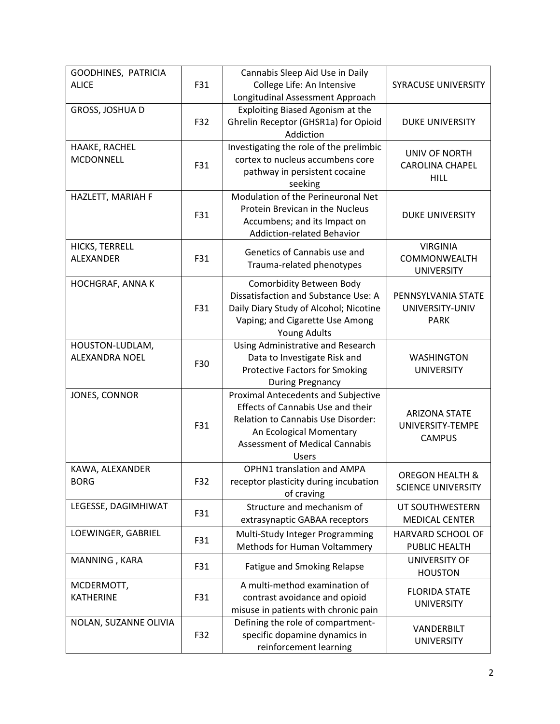| GOODHINES, PATRICIA<br><b>ALICE</b>      | F31 | Cannabis Sleep Aid Use in Daily<br>College Life: An Intensive<br>Longitudinal Assessment Approach                                                                                                         | <b>SYRACUSE UNIVERSITY</b>                                |
|------------------------------------------|-----|-----------------------------------------------------------------------------------------------------------------------------------------------------------------------------------------------------------|-----------------------------------------------------------|
| GROSS, JOSHUA D                          | F32 | Exploiting Biased Agonism at the<br>Ghrelin Receptor (GHSR1a) for Opioid<br>Addiction                                                                                                                     | <b>DUKE UNIVERSITY</b>                                    |
| HAAKE, RACHEL<br><b>MCDONNELL</b>        | F31 | Investigating the role of the prelimbic<br>cortex to nucleus accumbens core<br>pathway in persistent cocaine<br>seeking                                                                                   | UNIV OF NORTH<br><b>CAROLINA CHAPEL</b><br><b>HILL</b>    |
| HAZLETT, MARIAH F                        | F31 | Modulation of the Perineuronal Net<br>Protein Brevican in the Nucleus<br>Accumbens; and its Impact on<br><b>Addiction-related Behavior</b>                                                                | <b>DUKE UNIVERSITY</b>                                    |
| HICKS, TERRELL<br>ALEXANDER              | F31 | Genetics of Cannabis use and<br>Trauma-related phenotypes                                                                                                                                                 | <b>VIRGINIA</b><br>COMMONWEALTH<br><b>UNIVERSITY</b>      |
| HOCHGRAF, ANNA K                         | F31 | Comorbidity Between Body<br>Dissatisfaction and Substance Use: A<br>Daily Diary Study of Alcohol; Nicotine<br>Vaping; and Cigarette Use Among<br><b>Young Adults</b>                                      | PENNSYLVANIA STATE<br>UNIVERSITY-UNIV<br><b>PARK</b>      |
| HOUSTON-LUDLAM,<br><b>ALEXANDRA NOEL</b> | F30 | Using Administrative and Research<br>Data to Investigate Risk and<br><b>Protective Factors for Smoking</b><br><b>During Pregnancy</b>                                                                     | <b>WASHINGTON</b><br><b>UNIVERSITY</b>                    |
| JONES, CONNOR                            | F31 | <b>Proximal Antecedents and Subjective</b><br>Effects of Cannabis Use and their<br>Relation to Cannabis Use Disorder:<br>An Ecological Momentary<br><b>Assessment of Medical Cannabis</b><br><b>Users</b> | <b>ARIZONA STATE</b><br>UNIVERSITY-TEMPE<br><b>CAMPUS</b> |
| KAWA, ALEXANDER<br><b>BORG</b>           | F32 | <b>OPHN1</b> translation and AMPA<br>receptor plasticity during incubation<br>of craving                                                                                                                  | <b>OREGON HEALTH &amp;</b><br><b>SCIENCE UNIVERSITY</b>   |
| LEGESSE, DAGIMHIWAT                      | F31 | Structure and mechanism of<br>extrasynaptic GABAA receptors                                                                                                                                               | UT SOUTHWESTERN<br><b>MEDICAL CENTER</b>                  |
| LOEWINGER, GABRIEL                       | F31 | Multi-Study Integer Programming<br>Methods for Human Voltammery                                                                                                                                           | HARVARD SCHOOL OF<br>PUBLIC HEALTH                        |
| MANNING, KARA                            | F31 | Fatigue and Smoking Relapse                                                                                                                                                                               | <b>UNIVERSITY OF</b><br><b>HOUSTON</b>                    |
| MCDERMOTT,<br><b>KATHERINE</b>           | F31 | A multi-method examination of<br>contrast avoidance and opioid<br>misuse in patients with chronic pain                                                                                                    | <b>FLORIDA STATE</b><br><b>UNIVERSITY</b>                 |
| NOLAN, SUZANNE OLIVIA                    | F32 | Defining the role of compartment-<br>specific dopamine dynamics in<br>reinforcement learning                                                                                                              | VANDERBILT<br><b>UNIVERSITY</b>                           |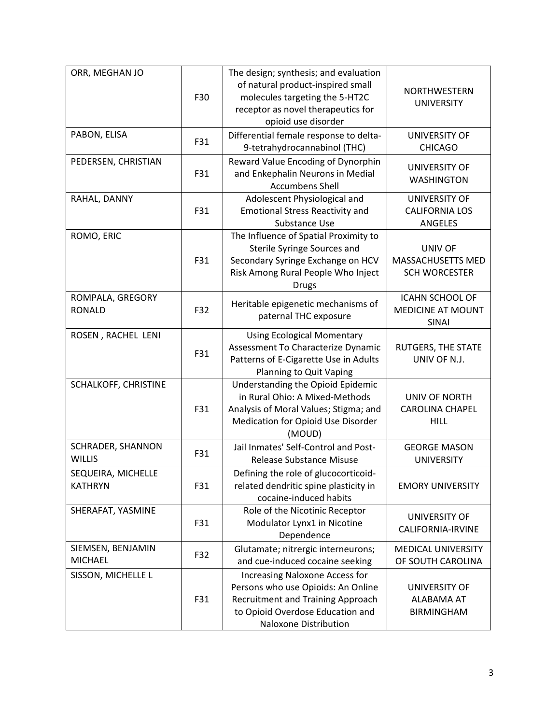| ORR, MEGHAN JO                       | F30 | The design; synthesis; and evaluation<br>of natural product-inspired small<br>molecules targeting the 5-HT2C<br>receptor as novel therapeutics for<br>opioid use disorder | NORTHWESTERN<br><b>UNIVERSITY</b>                           |
|--------------------------------------|-----|---------------------------------------------------------------------------------------------------------------------------------------------------------------------------|-------------------------------------------------------------|
| PABON, ELISA                         | F31 | Differential female response to delta-<br>9-tetrahydrocannabinol (THC)                                                                                                    | <b>UNIVERSITY OF</b><br><b>CHICAGO</b>                      |
| PEDERSEN, CHRISTIAN                  | F31 | Reward Value Encoding of Dynorphin<br>and Enkephalin Neurons in Medial<br><b>Accumbens Shell</b>                                                                          | <b>UNIVERSITY OF</b><br><b>WASHINGTON</b>                   |
| RAHAL, DANNY                         | F31 | Adolescent Physiological and<br><b>Emotional Stress Reactivity and</b><br>Substance Use                                                                                   | UNIVERSITY OF<br><b>CALIFORNIA LOS</b><br>ANGELES           |
| ROMO, ERIC                           | F31 | The Influence of Spatial Proximity to<br>Sterile Syringe Sources and<br>Secondary Syringe Exchange on HCV<br>Risk Among Rural People Who Inject<br><b>Drugs</b>           | <b>UNIV OF</b><br>MASSACHUSETTS MED<br><b>SCH WORCESTER</b> |
| ROMPALA, GREGORY<br><b>RONALD</b>    | F32 | Heritable epigenetic mechanisms of<br>paternal THC exposure                                                                                                               | <b>ICAHN SCHOOL OF</b><br><b>MEDICINE AT MOUNT</b><br>SINAI |
| ROSEN, RACHEL LENI                   | F31 | <b>Using Ecological Momentary</b><br>Assessment To Characterize Dynamic<br>Patterns of E-Cigarette Use in Adults<br>Planning to Quit Vaping                               | RUTGERS, THE STATE<br>UNIV OF N.J.                          |
| SCHALKOFF, CHRISTINE                 | F31 | Understanding the Opioid Epidemic<br>in Rural Ohio: A Mixed-Methods<br>Analysis of Moral Values; Stigma; and<br>Medication for Opioid Use Disorder<br>(MOUD)              | UNIV OF NORTH<br><b>CAROLINA CHAPEL</b><br><b>HILL</b>      |
| SCHRADER, SHANNON<br><b>WILLIS</b>   | F31 | Jail Inmates' Self-Control and Post-<br>Release Substance Misuse                                                                                                          | <b>GEORGE MASON</b><br><b>UNIVERSITY</b>                    |
| SEQUEIRA, MICHELLE<br><b>KATHRYN</b> | F31 | Defining the role of glucocorticoid-<br>related dendritic spine plasticity in<br>cocaine-induced habits                                                                   | <b>EMORY UNIVERSITY</b>                                     |
| SHERAFAT, YASMINE                    | F31 | Role of the Nicotinic Receptor<br>Modulator Lynx1 in Nicotine<br>Dependence                                                                                               | UNIVERSITY OF<br>CALIFORNIA-IRVINE                          |
| SIEMSEN, BENJAMIN<br><b>MICHAEL</b>  | F32 | Glutamate; nitrergic interneurons;<br>and cue-induced cocaine seeking                                                                                                     | MEDICAL UNIVERSITY<br>OF SOUTH CAROLINA                     |
| SISSON, MICHELLE L                   | F31 | Increasing Naloxone Access for<br>Persons who use Opioids: An Online<br>Recruitment and Training Approach<br>to Opioid Overdose Education and<br>Naloxone Distribution    | UNIVERSITY OF<br>ALABAMA AT<br><b>BIRMINGHAM</b>            |